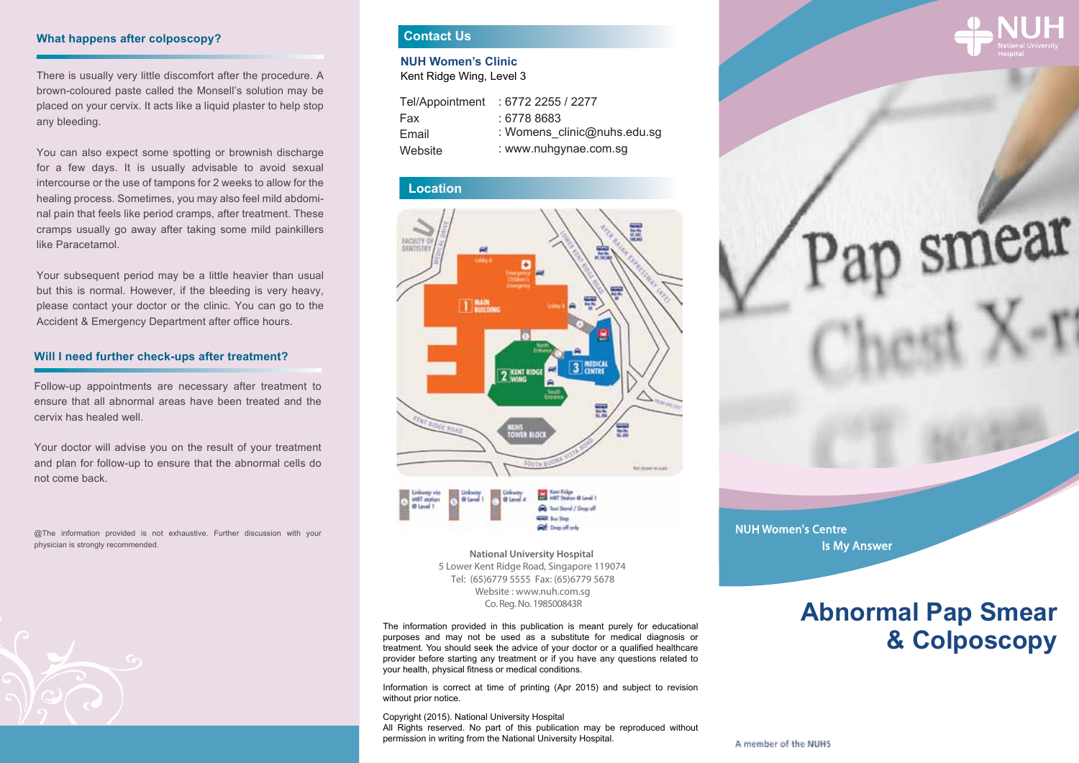#### **What happens after colposcopy?**

There is usually very little discomfort after the procedure. A brown-coloured paste called the Monsell's solution may be placed on your cervix. It acts like a liquid plaster to help stop any bleeding.

You can also expect some spotting or brownish discharge for a few days. It is usually advisable to avoid sexual intercourse or the use of tampons for 2 weeks to allow for the healing process. Sometimes, you may also feel mild abdominal pain that feels like period cramps, after treatment. These cramps usually go away after taking some mild painkillers like Paracetamol.

Your subsequent period may be a little heavier than usual but this is normal. However, if the bleeding is very heavy, please contact your doctor or the clinic. You can go to the Accident & Emergency Department after office hours.

#### **Will I need further check-ups after treatment?**

Follow-up appointments are necessary after treatment to ensure that all abnormal areas have been treated and the cervix has healed well.

Your doctor will advise you on the result of your treatment and plan for follow-up to ensure that the abnormal cells do not come back.

@The information provided is not exhaustive. Further discussion with your physician is strongly recommended.



# **Contact Us**

**NUH Women's Clinic**

Kent Ridge Wing, Level 3

| Tel/Appointment | : 67722255/2277             |
|-----------------|-----------------------------|
| Fax             | : 6778 8683                 |
| Email           | : Womens clinic@nuhs.edu.sg |
| Website         | : www.nuhgynae.com.sg       |

#### **Location**





Co. Reg. No. 198500843R **National University Hospital**  5 Lower Kent Ridge Road, Singapore 119074 Website : www.nuh.com.sg Tel: (65)6779 5555 Fax: (65)6779 5678

The information provided in this publication is meant purely for educational purposes and may not be used as a substitute for medical diagnosis or treatment. You should seek the advice of your doctor or a qualified healthcare provider before starting any treatment or if you have any questions related to your health, physical fitness or medical conditions.

Information is correct at time of printing (Apr 2015) and subject to revision without prior notice.

Copyright (2015). National University Hospital All Rights reserved. No part of this publication may be reproduced without permission in writing from the National University Hospital.



smear

NUH Women's Centre Is My Answer

# **Abnormal Pap Smear & Colposcopy**

A member of the NUHS